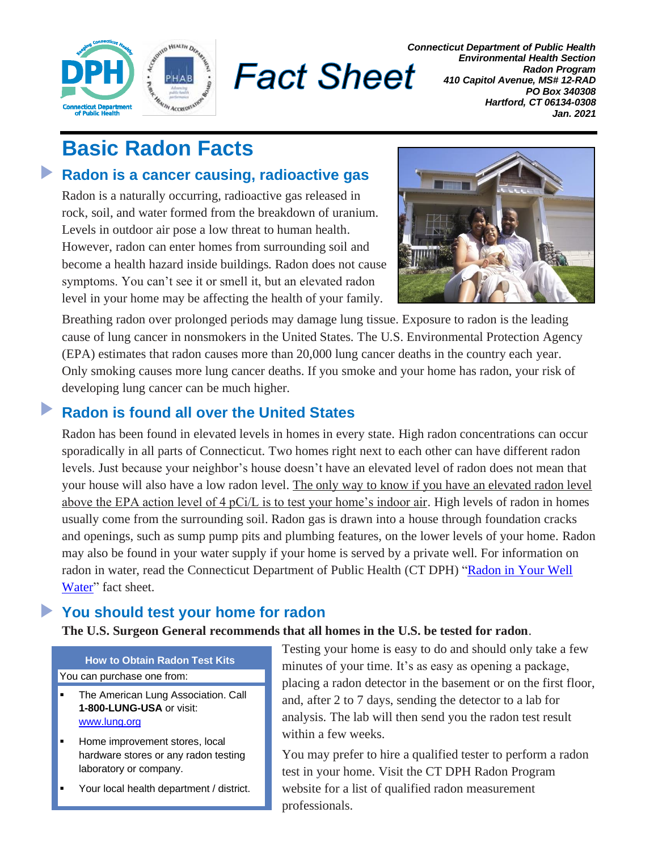

**Fact Sheet** 

*Connecticut Department of Public Health Environmental Health Section Radon Program 410 Capitol Avenue, MS# 12-RAD PO Box 340308 Hartford, CT 06134-0308 Jan. 2021*

# **Basic Radon Facts**

#### $\blacktriangleright$ **Radon is a cancer causing, radioactive gas**

Radon is a naturally occurring, radioactive gas released in rock, soil, and water formed from the breakdown of uranium. Levels in outdoor air pose a low threat to human health. However, radon can enter homes from surrounding soil and become a health hazard inside buildings. Radon does not cause symptoms. You can't see it or smell it, but an elevated radon level in your home may be affecting the health of your family.



Breathing radon over prolonged periods may damage lung tissue. Exposure to radon is the leading cause of lung cancer in nonsmokers in the United States. The U.S. Environmental Protection Agency (EPA) estimates that radon causes more than 20,000 lung cancer deaths in the country each year. Only smoking causes more lung cancer deaths. If you smoke and your home has radon, your risk of developing lung cancer can be much higher.

# **Radon is found all over the United States**

Radon has been found in elevated levels in homes in every state. High radon concentrations can occur sporadically in all parts of Connecticut. Two homes right next to each other can have different radon levels. Just because your neighbor's house doesn't have an elevated level of radon does not mean that your house will also have a low radon level. The only way to know if you have an elevated radon level above the EPA action level of 4 pCi/L is to test your home's indoor air. High levels of radon in homes usually come from the surrounding soil. Radon gas is drawn into a house through foundation cracks and openings, such as sump pump pits and plumbing features, on the lower levels of your home. Radon may also be found in your water supply if your home is served by a private well. For information on radon in water, read the Connecticut Department of Public Health (CT DPH) ["Radon in Your](http://www.ct.gov/dph/lib/dph/environmental_health/radon/pdf/Radon__in__Your__Water.pdf) Well [Water"](http://www.ct.gov/dph/lib/dph/environmental_health/radon/pdf/Radon__in__Your__Water.pdf) fact sheet.

# **You should test your home for radon**

### **The U.S. Surgeon General recommends that all homes in the U.S. be tested for radon**.

**How to Obtain Radon Test Kits** You can purchase one from:

- The American Lung Association. Call **1-800-LUNG-USA** or visit: [www.lung.org](http://www.lung.org/)
- Home improvement stores, local hardware stores or any radon testing laboratory or company.
- Your local health department / district.

Testing your home is easy to do and should only take a few minutes of your time. It's as easy as opening a package, placing a radon detector in the basement or on the first floor, and, after 2 to 7 days, sending the detector to a lab for analysis. The lab will then send you the radon test result within a few weeks.

You may prefer to hire a qualified tester to perform a radon test in your home. Visit the CT DPH Radon Program website for a list of qualified radon measurement professionals.